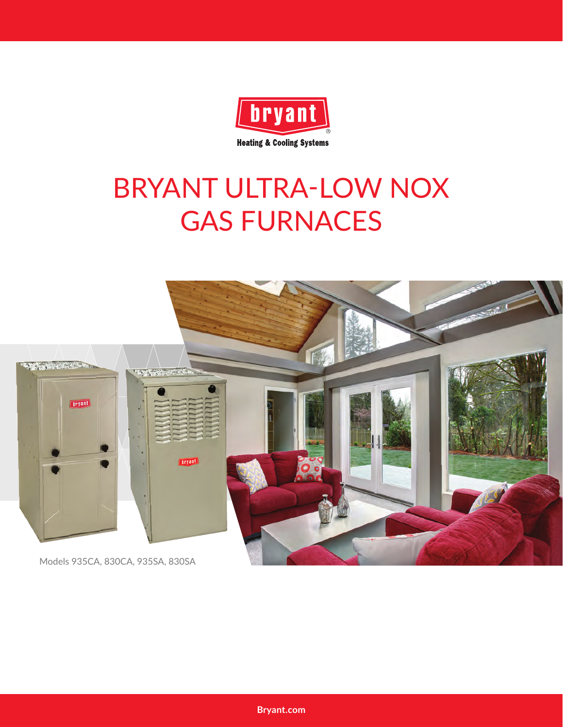

## BRYANT ULTRA-LOW NOX GAS FURNACES



**Bryant.com**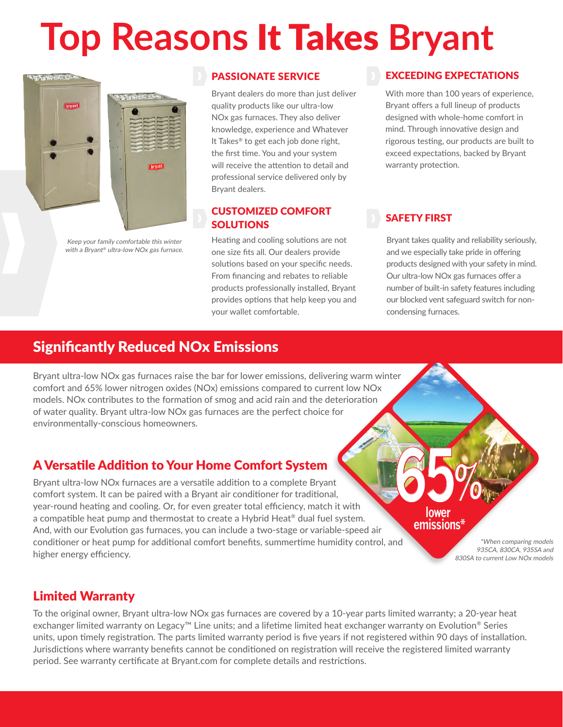# **Top Reasons** It Takes **Bryant**



Keep your family comfortable this winter with a Bryant® ultra-low NOx gas furnace.

#### PASSIONATE SERVICE

Bryant dealers do more than just deliver quality products like our ultra-low NOx gas furnaces. They also deliver knowledge, experience and Whatever It Takes® to get each job done right, the first time. You and your system will receive the attention to detail and professional service delivered only by Bryant dealers.

#### CUSTOMIZED COMFORT **SOLUTIONS**

Heating and cooling solutions are not one size fits all. Our dealers provide solutions based on your specific needs. From financing and rebates to reliable products professionally installed, Bryant provides options that help keep you and your wallet comfortable.

#### EXCEEDING EXPECTATIONS

With more than 100 years of experience, Bryant offers a full lineup of products designed with whole-home comfort in mind. Through innovative design and rigorous testing, our products are built to exceed expectations, backed by Bryant warranty protection.

#### SAFETY FIRST

Bryant takes quality and reliability seriously, and we especially take pride in offering products designed with your safety in mind. Our ultra-low NOx gas furnaces offer a number of built-in safety features including our blocked vent safeguard switch for noncondensing furnaces.

#### Significantly Reduced NOx Emissions

Bryant ultra-low NOx gas furnaces raise the bar for lower emissions, delivering warm winter comfort and 65% lower nitrogen oxides (NOx) emissions compared to current low NOx models. NOx contributes to the formation of smog and acid rain and the deterioration of water quality. Bryant ultra-low NOx gas furnaces are the perfect choice for environmentally-conscious homeowners.

#### A Versatile Addition to Your Home Comfort System

Bryant ultra-low NOx furnaces are a versatile addition to a complete Bryant comfort system. It can be paired with a Bryant air conditioner for traditional, year-round heating and cooling. Or, for even greater total efficiency, match it with a compatible heat pump and thermostat to create a Hybrid Heat® dual fuel system. And, with our Evolution gas furnaces, you can include a two-stage or variable-speed air conditioner or heat pump for additional comfort benefits, summertime humidity control, and higher energy efficiency.

**65% lower emissions\***

> \*When comparing models 935CA, 830CA, 935SA and 830SA to current Low NOx models

#### Limited Warranty

To the original owner, Bryant ultra-low NOx gas furnaces are covered by a 10-year parts limited warranty; a 20-year heat exchanger limited warranty on Legacy™ Line units; and a lifetime limited heat exchanger warranty on Evolution® Series units, upon timely registration. The parts limited warranty period is five years if not registered within 90 days of installation. Jurisdictions where warranty benefits cannot be conditioned on registration will receive the registered limited warranty period. See warranty certificate at Bryant.com for complete details and restrictions.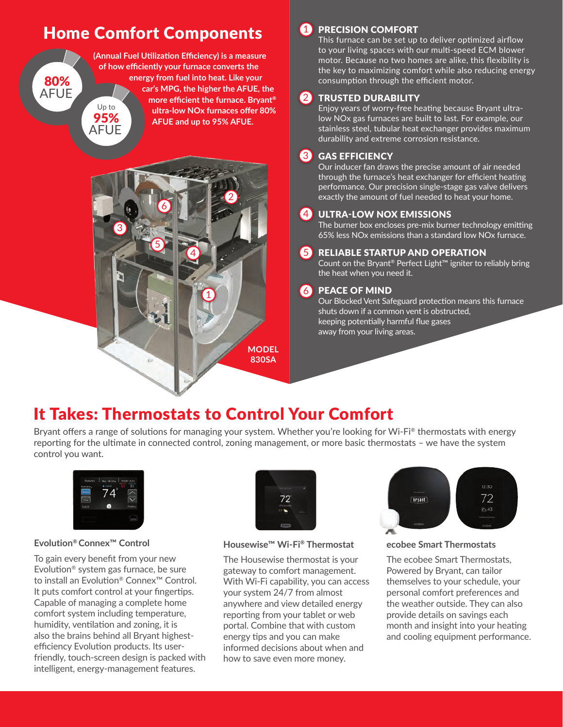### **Home Comfort Components**

80% AFUE





#### **1** PRECISION COMFORT

This furnace can be set up to deliver optimized airflow to your living spaces with our multi-speed ECM blower motor. Because no two homes are alike, this flexibility is the key to maximizing comfort while also reducing energy consumption through the efficient motor.

#### 2 TRUSTED DURABILITY

Enjoy years of worry-free heating because Bryant ultralow NOx gas furnaces are built to last. For example, our stainless steel, tubular heat exchanger provides maximum durability and extreme corrosion resistance.

#### GAS EFFICIENCY  $\overline{\overline{3}}$ 3 <u>د</u>

Our inducer fan draws the precise amount of air needed through the furnace's heat exchanger for efficient heating performance. Our precision single-stage gas valve delivers exactly the amount of fuel needed to heat your home.

#### 4 ULTRA-LOW NOX EMISSIONS

The burner box encloses pre-mix burner technology emitting 65% less NOx emissions than a standard low NOx furnace.

#### **6** RELIABLE STARTUP AND OPERATION

Count on the Bryant® Perfect Light™ igniter to reliably bring the heat when you need it.

#### PEACE OF MIND  $(6)$

Our Blocked Vent Safeguard protection means this furnace shuts down if a common vent is obstructed, keeping potentially harmful flue gases away from your living areas.

## It Takes: Thermostats to Control Your Comfort

Bryant offers a range of solutions for managing your system. Whether you're looking for Wi-Fi® thermostats with energy reporting for the ultimate in connected control, zoning management, or more basic thermostats – we have the system control you want.



#### **Evolution® Connex™ Control**

To gain every benefit from your new Evolution® system gas furnace, be sure to install an Evolution® Connex™ Control. It puts comfort control at your fingertips. Capable of managing a complete home comfort system including temperature, humidity, ventilation and zoning, it is also the brains behind all Bryant highestefficiency Evolution products. Its userfriendly, touch-screen design is packed with intelligent, energy-management features.



**Housewise™ Wi-Fi® Thermostat**

The Housewise thermostat is your gateway to comfort management. With Wi-Fi capability, you can access your system 24/7 from almost anywhere and view detailed energy reporting from your tablet or web portal. Combine that with custom energy tips and you can make informed decisions about when and how to save even more money.



**ecobee Smart Thermostats**

The ecobee Smart Thermostats, Powered by Bryant, can tailor themselves to your schedule, your personal comfort preferences and the weather outside. They can also provide details on savings each month and insight into your heating and cooling equipment performance.